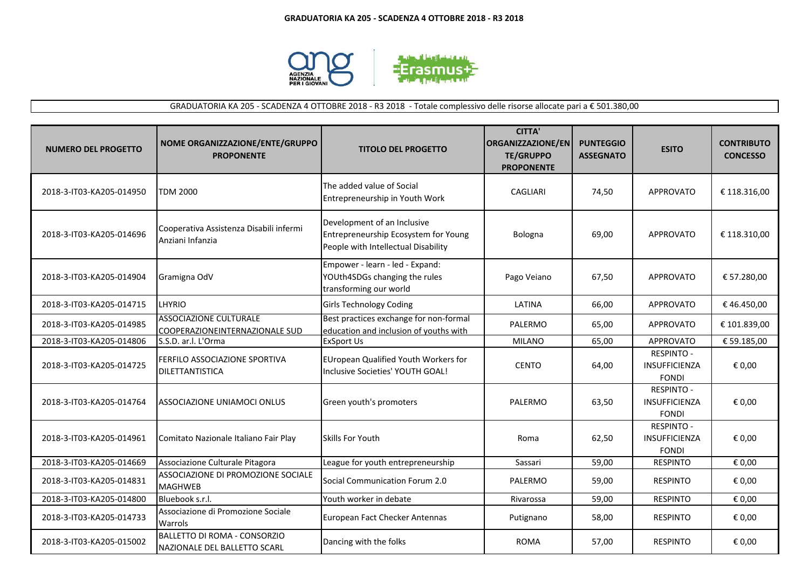

GRADUATORIA KA 205 - SCADENZA 4 OTTOBRE 2018 - R3 2018 - Totale complessivo delle risorse allocate pari a € 501.380,00

| <b>NUMERO DEL PROGETTO</b> | NOME ORGANIZZAZIONE/ENTE/GRUPPO<br><b>PROPONENTE</b>            | <b>TITOLO DEL PROGETTO</b>                                                                                 | CITTA'<br><b>ORGANIZZAZIONE/EN</b><br><b>TE/GRUPPO</b><br><b>PROPONENTE</b> | <b>PUNTEGGIO</b><br><b>ASSEGNATO</b> | <b>ESITO</b>                                              | <b>CONTRIBUTO</b><br><b>CONCESSO</b> |
|----------------------------|-----------------------------------------------------------------|------------------------------------------------------------------------------------------------------------|-----------------------------------------------------------------------------|--------------------------------------|-----------------------------------------------------------|--------------------------------------|
| 2018-3-IT03-KA205-014950   | <b>TDM 2000</b>                                                 | The added value of Social<br>Entrepreneurship in Youth Work                                                | CAGLIARI                                                                    | 74,50                                | <b>APPROVATO</b>                                          | € 118.316,00                         |
| 2018-3-IT03-KA205-014696   | Cooperativa Assistenza Disabili infermi<br>Anziani Infanzia     | Development of an Inclusive<br>Entrepreneurship Ecosystem for Young<br>People with Intellectual Disability | Bologna                                                                     | 69,00                                | <b>APPROVATO</b>                                          | € 118.310,00                         |
| 2018-3-IT03-KA205-014904   | Gramigna OdV                                                    | Empower - learn - led - Expand:<br>YOUth4SDGs changing the rules<br>transforming our world                 | Pago Veiano                                                                 | 67,50                                | <b>APPROVATO</b>                                          | € 57.280,00                          |
| 2018-3-IT03-KA205-014715   | LHYRIO                                                          | <b>Girls Technology Coding</b>                                                                             | LATINA                                                                      | 66,00                                | APPROVATO                                                 | €46.450,00                           |
| 2018-3-IT03-KA205-014985   | <b>ASSOCIAZIONE CULTURALE</b><br>COOPERAZIONEINTERNAZIONALE SUD | Best practices exchange for non-formal<br>education and inclusion of youths with                           | PALERMO                                                                     | 65,00                                | <b>APPROVATO</b>                                          | € 101.839,00                         |
| 2018-3-IT03-KA205-014806   | S.S.D. ar.l. L'Orma                                             | <b>ExSport Us</b>                                                                                          | <b>MILANO</b>                                                               | 65,00                                | <b>APPROVATO</b>                                          | € 59.185,00                          |
| 2018-3-IT03-KA205-014725   | FERFILO ASSOCIAZIONE SPORTIVA<br>DILETTANTISTICA                | EUropean Qualified Youth Workers for<br>Inclusive Societies' YOUTH GOAL!                                   | <b>CENTO</b>                                                                | 64,00                                | <b>RESPINTO -</b><br><b>INSUFFICIENZA</b><br><b>FONDI</b> | € 0,00                               |
| 2018-3-IT03-KA205-014764   | ASSOCIAZIONE UNIAMOCI ONLUS                                     | Green youth's promoters                                                                                    | PALERMO                                                                     | 63,50                                | <b>RESPINTO -</b><br>INSUFFICIENZA<br><b>FONDI</b>        | € 0,00                               |
| 2018-3-IT03-KA205-014961   | Comitato Nazionale Italiano Fair Play                           | Skills For Youth                                                                                           | Roma                                                                        | 62,50                                | <b>RESPINTO -</b><br><b>INSUFFICIENZA</b><br><b>FONDI</b> | € 0,00                               |
| 2018-3-IT03-KA205-014669   | Associazione Culturale Pitagora                                 | League for youth entrepreneurship                                                                          | Sassari                                                                     | 59,00                                | <b>RESPINTO</b>                                           | € 0,00                               |
| 2018-3-IT03-KA205-014831   | ASSOCIAZIONE DI PROMOZIONE SOCIALE<br><b>MAGHWEB</b>            | Social Communication Forum 2.0                                                                             | PALERMO                                                                     | 59,00                                | <b>RESPINTO</b>                                           | € 0,00                               |
| 2018-3-IT03-KA205-014800   | Bluebook s.r.l.                                                 | Youth worker in debate                                                                                     | Rivarossa                                                                   | 59,00                                | <b>RESPINTO</b>                                           | € 0,00                               |
| 2018-3-IT03-KA205-014733   | Associazione di Promozione Sociale<br>Warrols                   | European Fact Checker Antennas                                                                             | Putignano                                                                   | 58,00                                | <b>RESPINTO</b>                                           | € 0,00                               |
| 2018-3-IT03-KA205-015002   | BALLETTO DI ROMA - CONSORZIO<br>NAZIONALE DEL BALLETTO SCARL    | Dancing with the folks                                                                                     | <b>ROMA</b>                                                                 | 57,00                                | <b>RESPINTO</b>                                           | € 0,00                               |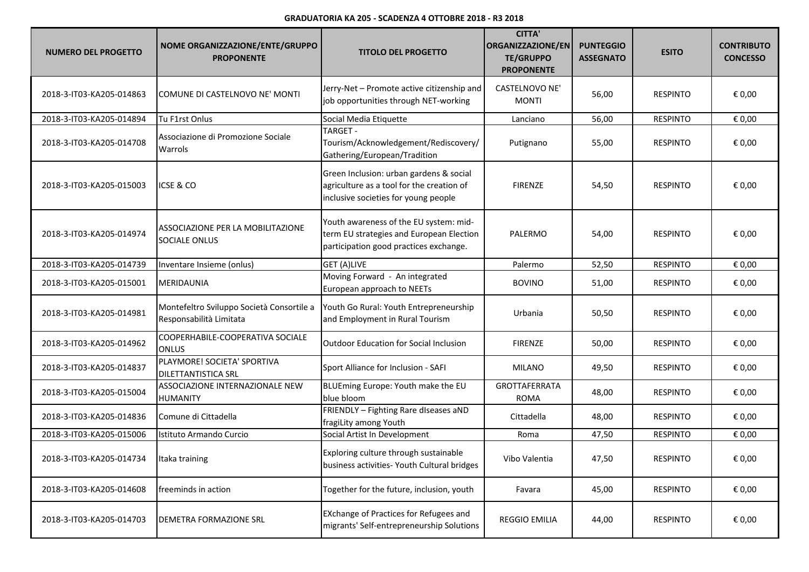## **GRADUATORIA KA 205 - SCADENZA 4 OTTOBRE 2018 - R3 2018**

| <b>NUMERO DEL PROGETTO</b> | NOME ORGANIZZAZIONE/ENTE/GRUPPO<br><b>PROPONENTE</b>                 | <b>TITOLO DEL PROGETTO</b>                                                                                                   | <b>CITTA'</b><br><b>ORGANIZZAZIONE/EN</b><br><b>TE/GRUPPO</b><br><b>PROPONENTE</b> | <b>PUNTEGGIO</b><br><b>ASSEGNATO</b> | <b>ESITO</b>    | <b>CONTRIBUTO</b><br><b>CONCESSO</b> |
|----------------------------|----------------------------------------------------------------------|------------------------------------------------------------------------------------------------------------------------------|------------------------------------------------------------------------------------|--------------------------------------|-----------------|--------------------------------------|
| 2018-3-IT03-KA205-014863   | COMUNE DI CASTELNOVO NE' MONTI                                       | Jerry-Net - Promote active citizenship and<br>job opportunities through NET-working                                          | CASTELNOVO NE'<br><b>MONTI</b>                                                     | 56,00                                | <b>RESPINTO</b> | € 0,00                               |
| 2018-3-IT03-KA205-014894   | Tu F1rst Onlus                                                       | Social Media Etiquette                                                                                                       | Lanciano                                                                           | 56,00                                | <b>RESPINTO</b> | € 0,00                               |
| 2018-3-IT03-KA205-014708   | Associazione di Promozione Sociale<br>Warrols                        | TARGET -<br>Tourism/Acknowledgement/Rediscovery/<br>Gathering/European/Tradition                                             | Putignano                                                                          | 55,00                                | <b>RESPINTO</b> | € 0,00                               |
| 2018-3-IT03-KA205-015003   | ICSE & CO                                                            | Green Inclusion: urban gardens & social<br>agriculture as a tool for the creation of<br>inclusive societies for young people | <b>FIRENZE</b>                                                                     | 54,50                                | <b>RESPINTO</b> | € 0,00                               |
| 2018-3-IT03-KA205-014974   | ASSOCIAZIONE PER LA MOBILITAZIONE<br><b>SOCIALE ONLUS</b>            | Youth awareness of the EU system: mid-<br>term EU strategies and European Election<br>participation good practices exchange. | PALERMO                                                                            | 54,00                                | <b>RESPINTO</b> | € 0,00                               |
| 2018-3-IT03-KA205-014739   | Inventare Insieme (onlus)                                            | GET (A)LIVE                                                                                                                  | Palermo                                                                            | 52,50                                | <b>RESPINTO</b> | € 0,00                               |
| 2018-3-IT03-KA205-015001   | MERIDAUNIA                                                           | Moving Forward - An integrated<br>European approach to NEETs                                                                 | <b>BOVINO</b>                                                                      | 51,00                                | <b>RESPINTO</b> | € 0,00                               |
| 2018-3-IT03-KA205-014981   | Montefeltro Sviluppo Società Consortile a<br>Responsabilità Limitata | Youth Go Rural: Youth Entrepreneurship<br>and Employment in Rural Tourism                                                    | Urbania                                                                            | 50,50                                | <b>RESPINTO</b> | € 0,00                               |
| 2018-3-IT03-KA205-014962   | COOPERHABILE-COOPERATIVA SOCIALE<br><b>ONLUS</b>                     | <b>Outdoor Education for Social Inclusion</b>                                                                                | <b>FIRENZE</b>                                                                     | 50,00                                | <b>RESPINTO</b> | € 0,00                               |
| 2018-3-IT03-KA205-014837   | PLAYMORE! SOCIETA' SPORTIVA<br><b>DILETTANTISTICA SRL</b>            | Sport Alliance for Inclusion - SAFI                                                                                          | <b>MILANO</b>                                                                      | 49,50                                | <b>RESPINTO</b> | € 0,00                               |
| 2018-3-IT03-KA205-015004   | ASSOCIAZIONE INTERNAZIONALE NEW<br><b>HUMANITY</b>                   | BLUEming Europe: Youth make the EU<br>blue bloom                                                                             | GROTTAFERRATA<br><b>ROMA</b>                                                       | 48,00                                | <b>RESPINTO</b> | € 0,00                               |
| 2018-3-IT03-KA205-014836   | Comune di Cittadella                                                 | FRIENDLY - Fighting Rare diseases aND<br>fragiLity among Youth                                                               | Cittadella                                                                         | 48,00                                | <b>RESPINTO</b> | € 0,00                               |
| 2018-3-IT03-KA205-015006   | Istituto Armando Curcio                                              | Social Artist In Development                                                                                                 | Roma                                                                               | 47,50                                | <b>RESPINTO</b> | € 0,00                               |
| 2018-3-IT03-KA205-014734   | Itaka training                                                       | Exploring culture through sustainable<br>business activities- Youth Cultural bridges                                         | Vibo Valentia                                                                      | 47,50                                | <b>RESPINTO</b> | € 0,00                               |
| 2018-3-IT03-KA205-014608   | freeminds in action                                                  | Together for the future, inclusion, youth                                                                                    | Favara                                                                             | 45,00                                | <b>RESPINTO</b> | € 0,00                               |
| 2018-3-IT03-KA205-014703   | DEMETRA FORMAZIONE SRL                                               | EXchange of Practices for Refugees and<br>migrants' Self-entrepreneurship Solutions                                          | <b>REGGIO EMILIA</b>                                                               | 44,00                                | <b>RESPINTO</b> | € 0,00                               |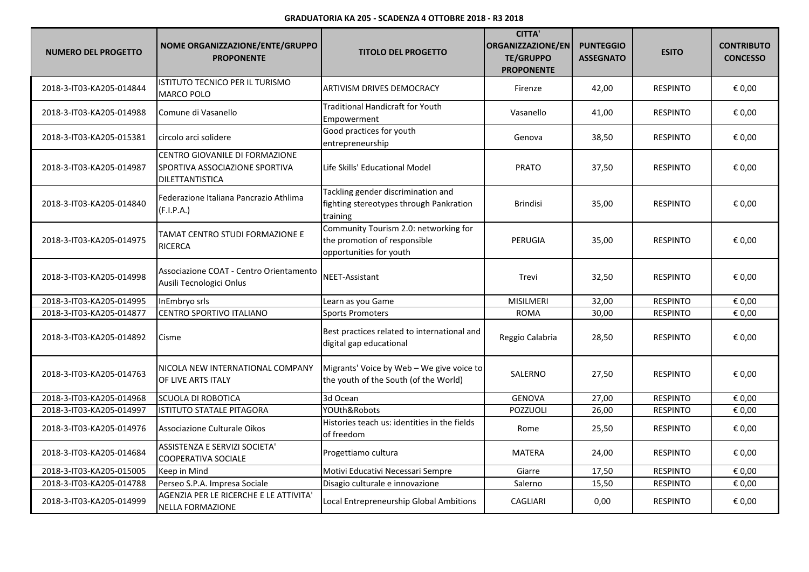| <b>NUMERO DEL PROGETTO</b> | NOME ORGANIZZAZIONE/ENTE/GRUPPO<br><b>PROPONENTE</b>                                       | <b>TITOLO DEL PROGETTO</b>                                                                       | <b>CITTA'</b><br><b>ORGANIZZAZIONE/EN</b><br><b>TE/GRUPPO</b><br><b>PROPONENTE</b> | <b>PUNTEGGIO</b><br><b>ASSEGNATO</b> | <b>ESITO</b>    | <b>CONTRIBUTO</b><br><b>CONCESSO</b> |
|----------------------------|--------------------------------------------------------------------------------------------|--------------------------------------------------------------------------------------------------|------------------------------------------------------------------------------------|--------------------------------------|-----------------|--------------------------------------|
| 2018-3-IT03-KA205-014844   | ISTITUTO TECNICO PER IL TURISMO<br><b>MARCO POLO</b>                                       | ARTIVISM DRIVES DEMOCRACY                                                                        | Firenze                                                                            | 42,00                                | <b>RESPINTO</b> | € 0,00                               |
| 2018-3-IT03-KA205-014988   | Comune di Vasanello                                                                        | <b>Traditional Handicraft for Youth</b><br>Empowerment                                           | Vasanello                                                                          | 41,00                                | <b>RESPINTO</b> | € 0,00                               |
| 2018-3-IT03-KA205-015381   | circolo arci solidere                                                                      | Good practices for youth<br>entrepreneurship                                                     | Genova                                                                             | 38,50                                | <b>RESPINTO</b> | € 0,00                               |
| 2018-3-IT03-KA205-014987   | CENTRO GIOVANILE DI FORMAZIONE<br>SPORTIVA ASSOCIAZIONE SPORTIVA<br><b>DILETTANTISTICA</b> | Life Skills' Educational Model                                                                   | <b>PRATO</b>                                                                       | 37,50                                | <b>RESPINTO</b> | € 0,00                               |
| 2018-3-IT03-KA205-014840   | Federazione Italiana Pancrazio Athlima<br>(F.I.P.A.)                                       | Tackling gender discrimination and<br>fighting stereotypes through Pankration<br>training        | <b>Brindisi</b>                                                                    | 35,00                                | <b>RESPINTO</b> | € 0,00                               |
| 2018-3-IT03-KA205-014975   | TAMAT CENTRO STUDI FORMAZIONE E<br><b>RICERCA</b>                                          | Community Tourism 2.0: networking for<br>the promotion of responsible<br>opportunities for youth | <b>PERUGIA</b>                                                                     | 35,00                                | <b>RESPINTO</b> | € 0,00                               |
| 2018-3-IT03-KA205-014998   | Associazione COAT - Centro Orientamento<br>Ausili Tecnologici Onlus                        | NEET-Assistant                                                                                   | Trevi                                                                              | 32,50                                | <b>RESPINTO</b> | € 0,00                               |
| 2018-3-IT03-KA205-014995   | InEmbryo srls                                                                              | Learn as you Game                                                                                | <b>MISILMERI</b>                                                                   | 32,00                                | <b>RESPINTO</b> | € 0,00                               |
| 2018-3-IT03-KA205-014877   | CENTRO SPORTIVO ITALIANO                                                                   | <b>Sports Promoters</b>                                                                          | <b>ROMA</b>                                                                        | 30,00                                | <b>RESPINTO</b> | € 0,00                               |
| 2018-3-IT03-KA205-014892   | Cisme                                                                                      | Best practices related to international and<br>digital gap educational                           | Reggio Calabria                                                                    | 28,50                                | RESPINTO        | € 0,00                               |
| 2018-3-IT03-KA205-014763   | NICOLA NEW INTERNATIONAL COMPANY<br>OF LIVE ARTS ITALY                                     | Migrants' Voice by Web - We give voice to<br>the youth of the South (of the World)               | SALERNO                                                                            | 27,50                                | <b>RESPINTO</b> | € 0,00                               |
| 2018-3-IT03-KA205-014968   | SCUOLA DI ROBOTICA                                                                         | 3d Ocean                                                                                         | <b>GENOVA</b>                                                                      | 27,00                                | <b>RESPINTO</b> | € 0,00                               |
| 2018-3-IT03-KA205-014997   | ISTITUTO STATALE PITAGORA                                                                  | YOUth&Robots                                                                                     | POZZUOLI                                                                           | 26,00                                | <b>RESPINTO</b> | € 0,00                               |
| 2018-3-IT03-KA205-014976   | Associazione Culturale Oikos                                                               | Histories teach us: identities in the fields<br>of freedom                                       | Rome                                                                               | 25,50                                | <b>RESPINTO</b> | € 0,00                               |
| 2018-3-IT03-KA205-014684   | ASSISTENZA E SERVIZI SOCIETA'<br>COOPERATIVA SOCIALE                                       | Progettiamo cultura                                                                              | MATERA                                                                             | 24,00                                | <b>RESPINTO</b> | € 0,00                               |
| 2018-3-IT03-KA205-015005   | Keep in Mind                                                                               | Motivi Educativi Necessari Sempre                                                                | Giarre                                                                             | 17,50                                | <b>RESPINTO</b> | € 0,00                               |
| 2018-3-IT03-KA205-014788   | Perseo S.P.A. Impresa Sociale                                                              | Disagio culturale e innovazione                                                                  | Salerno                                                                            | 15,50                                | <b>RESPINTO</b> | € 0,00                               |
| 2018-3-IT03-KA205-014999   | AGENZIA PER LE RICERCHE E LE ATTIVITA'<br><b>NELLA FORMAZIONE</b>                          | Local Entrepreneurship Global Ambitions                                                          | <b>CAGLIARI</b>                                                                    | 0,00                                 | <b>RESPINTO</b> | € 0,00                               |